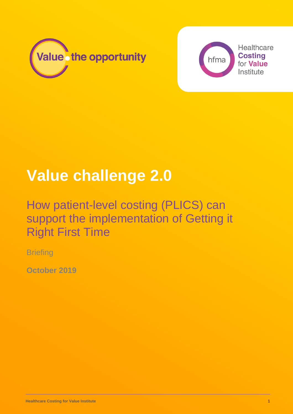



# **Value challenge 2.0**

## How patient-level costing (PLICS) can support the implementation of Getting it Right First Time

**Briefing** 

**October 2019**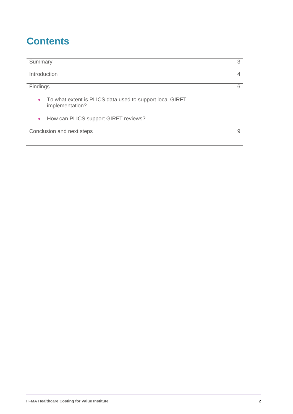## **Contents**

| Summary                                                                                  | 3 |
|------------------------------------------------------------------------------------------|---|
| Introduction                                                                             | 4 |
| Findings                                                                                 | 6 |
| To what extent is PLICS data used to support local GIRFT<br>$\bullet$<br>implementation? |   |
| How can PLICS support GIRFT reviews?<br>$\bullet$                                        |   |
| Conclusion and next steps                                                                | 9 |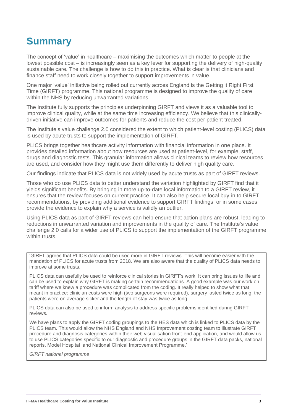## **Summary**

The concept of 'value' in healthcare – maximising the outcomes which matter to people at the lowest possible cost – is increasingly seen as a key lever for supporting the delivery of high-quality sustainable care. The challenge is how to do this in practice. What is clear is that clinicians and finance staff need to work closely together to support improvements in value.

One major 'value' initiative being rolled out currently across England is the Getting it Right First Time (GIRFT) programme. This national programme is designed to improve the quality of care within the NHS by reducing unwarranted variations.

The Institute fully supports the principles underpinning GIRFT and views it as a valuable tool to improve clinical quality, while at the same time increasing efficiency. We believe that this clinicallydriven initiative can improve outcomes for patients and reduce the cost per patient treated.

The Institute's value challenge 2.0 considered the extent to which patient-level costing (PLICS) data is used by acute trusts to support the implementation of GIRFT.

PLICS brings together healthcare activity information with financial information in one place. It provides detailed information about how resources are used at patient-level, for example, staff, drugs and diagnostic tests. This granular information allows clinical teams to review how resources are used, and consider how they might use them differently to deliver high quality care.

Our findings indicate that PLICS data is not widely used by acute trusts as part of GIRFT reviews.

Those who do use PLICS data to better understand the variation highlighted by GIRFT find that it yields significant benefits. By bringing in more up-to-date local information to a GIRFT review, it ensures that the review focuses on current practice. It can also help secure local buy-in to GIRFT recommendations, by providing additional evidence to support GIRFT findings, or in some cases provide the evidence to explain why a service is validly an outlier.

Using PLICS data as part of GIRFT reviews can help ensure that action plans are robust, leading to reductions in unwarranted variation and improvements in the quality of care. The Institute's value challenge 2.0 calls for a wider use of PLICS to support the implementation of the GIRFT programme within trusts.

'GIRFT agrees that PLICS data could be used more in GIRFT reviews. This will become easier with the mandation of PLICS for acute trusts from 2018. We are also aware that the quality of PLICS data needs to improve at some trusts.

PLICS data can usefully be used to reinforce clinical stories in GIRFT's work. It can bring issues to life and can be used to explain why GIRFT is making certain recommendations. A good example was our work on tariff where we knew a procedure was complicated from the coding. It really helped to show what that meant in practice: clinician costs were high (two surgeons were required), surgery lasted twice as long, the patients were on average sicker and the length of stay was twice as long.

PLICS data can also be used to inform analysis to address specific problems identified during GIRFT reviews.

We have plans to apply the GIRFT coding groupings to the HES data which is linked to PLICS data by the PLICS team. This would allow the NHS England and NHS Improvement costing team to illustrate GIRFT procedure and diagnosis categories within their web visualisation front-end application, and would allow us to use PLICS categories specific to our diagnostic and procedure groups in the GIRFT data packs, national reports, Model Hospital and National Clinical Improvement Programme.'

*GIRFT national programme*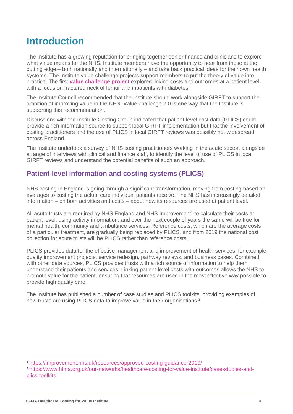## **Introduction**

The Institute has a growing reputation for bringing together senior finance and clinicians to explore what value means for the NHS. Institute members have the opportunity to hear from those at the cutting edge – both nationally and internationally – and take back practical ideas for their own health systems. The Institute value challenge projects support members to put the theory of value into practice. The first **[value challenge project](https://www.hfma.org.uk/publications/details/report-on-the-value-challenge-pilot)** explored linking costs and outcomes at a patient level, with a focus on fractured neck of femur and inpatients with diabetes.

The Institute Council recommended that the Institute should work alongside GIRFT to support the ambition of improving value in the NHS. Value challenge 2.0 is one way that the Institute is supporting this recommendation.

Discussions with the Institute Costing Group indicated that patient-level cost data (PLICS) could provide a rich information source to support local GIRFT implementation but that the involvement of costing practitioners and the use of PLICS in local GIRFT reviews was possibly not widespread across England.

The Institute undertook a survey of NHS costing practitioners working in the acute sector, alongside a range of interviews with clinical and finance staff, to identify the level of use of PLICS in local GIRFT reviews and understand the potential benefits of such an approach.

#### **Patient-level information and costing systems (PLICS)**

NHS costing in England is going through a significant transformation, moving from costing based on averages to costing the actual care individual patients receive. The NHS has increasingly detailed information – on both activities and costs – about how its resources are used at patient level.

All acute trusts are required by NHS England and NHS Improvement<sup>1</sup> to calculate their costs at patient level, using activity information, and over the next couple of years the same will be true for mental health, community and ambulance services. Reference costs, which are the average costs of a particular treatment, are gradually being replaced by PLICS, and from 2019 the national cost collection for acute trusts will be PLICS rather than reference costs.

PLICS provides data for the effective management and improvement of health services, for example quality improvement projects, service redesign, pathway reviews, and business cases. Combined with other data sources, PLICS provides trusts with a rich source of information to help them understand their patients and services. Linking patient-level costs with outcomes allows the NHS to promote value for the patient, ensuring that resources are used in the most effective way possible to provide high quality care.

The Institute has published a number of case studies and PLICS toolkits, providing examples of how trusts are using PLICS data to improve value in their organisations.<sup>2</sup>

<sup>1</sup> <https://improvement.nhs.uk/resources/approved-costing-guidance-2019/>

<sup>2</sup> [https://www.hfma.org.uk/our-networks/healthcare-costing-for-value-institute/case-studies-and](https://www.hfma.org.uk/our-networks/healthcare-costing-for-value-institute/case-studies-and-plics-toolkits)[plics-toolkits](https://www.hfma.org.uk/our-networks/healthcare-costing-for-value-institute/case-studies-and-plics-toolkits)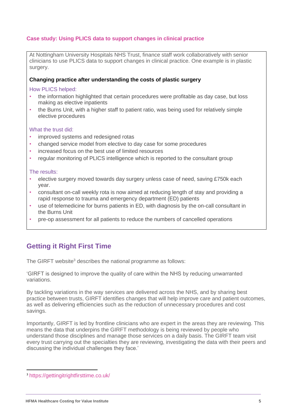#### **Case study: Using PLICS data to support changes in clinical practice**

At Nottingham University Hospitals NHS Trust, finance staff work collaboratively with senior clinicians to use PLICS data to support changes in clinical practice. One example is in plastic surgery.

#### **Changing practice after understanding the costs of plastic surgery**

How PLICS helped:

- the information highlighted that certain procedures were profitable as day case, but loss making as elective inpatients
- the Burns Unit, with a higher staff to patient ratio, was being used for relatively simple elective procedures

#### What the trust did:

- improved systems and redesigned rotas
- changed service model from elective to day case for some procedures
- increased focus on the best use of limited resources
- regular monitoring of PLICS intelligence which is reported to the consultant group

#### The results:

- elective surgery moved towards day surgery unless case of need, saving £750k each year.
- consultant on-call weekly rota is now aimed at reducing length of stay and providing a rapid response to trauma and emergency department (ED) patients
- use of telemedicine for burns patients in ED, with diagnosis by the on-call consultant in the Burns Unit
- pre-op assessment for all patients to reduce the numbers of cancelled operations

#### **Getting it Right First Time**

The GIRFT website<sup>3</sup> describes the national programme as follows:

'GIRFT is designed to improve the quality of care within the NHS by reducing unwarranted variations.

By tackling variations in the way services are delivered across the NHS, and by sharing best practice between trusts, GIRFT identifies changes that will help improve care and patient outcomes, as well as delivering efficiencies such as the reduction of unnecessary procedures and cost savings.

Importantly, GIRFT is led by frontline clinicians who are expert in the areas they are reviewing. This means the data that underpins the GIRFT methodology is being reviewed by people who understand those disciplines and manage those services on a daily basis. The GIRFT team visit every trust carrying out the specialties they are reviewing, investigating the data with their peers and discussing the individual challenges they face.'

<sup>3</sup> <https://gettingitrightfirsttime.co.uk/>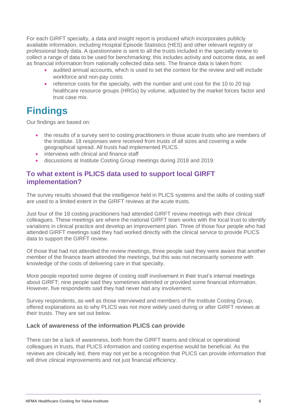For each GIRFT specialty, a data and insight report is produced which incorporates publicly available information, including Hospital Episode Statistics (HES) and other relevant registry or professional body data. A questionnaire is sent to all the trusts included in the specialty review to collect a range of data to be used for benchmarking; this includes activity and outcome data, as well as financial information from nationally collected data sets. The finance data is taken from:

- audited annual accounts, which is used to set the context for the review and will include workforce and non-pay costs.
- reference costs for the specialty, with the number and unit cost for the 10 to 20 top healthcare resource groups (HRGs) by volume, adjusted by the market forces factor and trust case mix.

## **Findings**

Our findings are based on:

- the results of a survey sent to costing practitioners in those acute trusts who are members of the Institute. 18 responses were received from trusts of all sizes and covering a wide geographical spread. All trusts had implemented PLICS.
- interviews with clinical and finance staff
- discussions at Institute Costing Group meetings during 2018 and 2019.

#### **To what extent is PLICS data used to support local GIRFT implementation?**

The survey results showed that the intelligence held in PLICS systems and the skills of costing staff are used to a limited extent in the GIRFT reviews at the acute trusts.

Just four of the 18 costing practitioners had attended GIRFT review meetings with their clinical colleagues. These meetings are where the national GIRFT team works with the local trust to identify variations in clinical practice and develop an improvement plan. Three of those four people who had attended GIRFT meetings said they had worked directly with the clinical service to provide PLICS data to support the GIRFT review.

Of those that had not attended the review meetings, three people said they were aware that another member of the finance team attended the meetings, but this was not necessarily someone with knowledge of the costs of delivering care in that specialty.

More people reported some degree of costing staff involvement in their trust's internal meetings about GIRFT; nine people said they sometimes attended or provided some financial information. However, five respondents said they had never had any involvement.

Survey respondents, as well as those interviewed and members of the Institute Costing Group, offered explanations as to why PLICS was not more widely used during or after GIRFT reviews at their trusts. They are set out below.

#### **Lack of awareness of the information PLICS can provide**

There can be a lack of awareness, both from the GIRFT teams and clinical or operational colleagues in trusts, that PLICS information and costing expertise would be beneficial. As the reviews are clinically led, there may not yet be a recognition that PLICS can provide information that will drive clinical improvements and not just financial efficiency.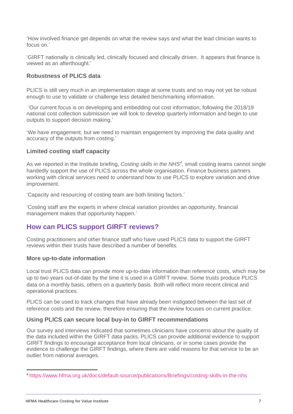'How involved finance get depends on what the review says and what the lead clinician wants to focus on.'

'GIRFT nationally is clinically led, clinically focused and clinically driven. It appears that finance is viewed as an afterthought.'

#### **Robustness of PLICS data**

PLICS is still very much in an implementation stage at some trusts and so may not yet be robust enough to use to validate or challenge less detailed benchmarking information.

'Our current focus is on developing and embedding out cost information, following the 2018/19 national cost collection submission we will look to develop quarterly information and begin to use outputs to support decision making.'

'We have engagement, but we need to maintain engagement by improving the data quality and accuracy of the outputs from costing.'

#### **Limited costing staff capacity**

As we reported in the Institute briefing, *Costing skills in the NHS<sup>4</sup>* , small costing teams cannot single handedly support the use of PLICS across the whole organisation. Finance business partners working with clinical services need to understand how to use PLICS to explore variation and drive improvement.

'Capacity and resourcing of costing team are both limiting factors.'

'Costing staff are the experts in where clinical variation provides an opportunity, financial management makes that opportunity happen.'

#### **How can PLICS support GIRFT reviews?**

Costing practitioners and other finance staff who have used PLICS data to support the GIRFT reviews within their trusts have described a number of benefits.

#### **More up-to-date information**

Local trust PLICS data can provide more up-to-date information than reference costs, which may be up to two years out-of-date by the time it is used in a GIRFT review. Some trusts produce PLICS data on a monthly basis, others on a quarterly basis. Both will reflect more recent clinical and operational practices.

PLICS can be used to track changes that have already been instigated between the last set of reference costs and the review, therefore ensuring that the review focuses on current practice.

#### **Using PLICS can secure local buy-in to GIRFT recommendations**

Our survey and interviews indicated that sometimes clinicians have concerns about the quality of the data included within the GIRFT data packs. PLICS can provide additional evidence to support GIRFT findings to encourage acceptance from local clinicians, or in some cases provide the evidence to challenge the GIRFT findings, where there are valid reasons for that service to be an outlier from national averages.

<sup>4</sup> https://www.hfma.org.uk/docs/default-source/publications/Briefings/costing-skills-in-the-nhs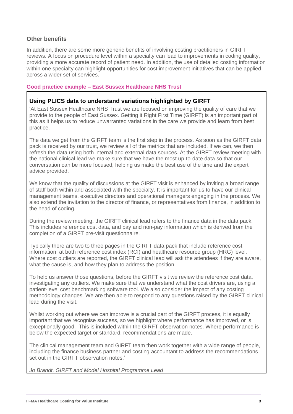#### **Other benefits**

In addition, there are some more generic benefits of involving costing practitioners in GIRFT reviews. A focus on procedure level within a specialty can lead to improvements in coding quality, providing a more accurate record of patient need. In addition, the use of detailed costing information within one specialty can highlight opportunities for cost improvement initiatives that can be applied across a wider set of services.

#### **Good practice example – East Sussex Healthcare NHS Trust**

#### **Using PLICS data to understand variations highlighted by GIRFT**

'At East Sussex Healthcare NHS Trust we are focused on improving the quality of care that we provide to the people of East Sussex. Getting it Right First Time (GIRFT) is an important part of this as it helps us to reduce unwarranted variations in the care we provide and learn from best practice.

The data we get from the GIRFT team is the first step in the process. As soon as the GIRFT data pack is received by our trust, we review all of the metrics that are included. If we can, we then refresh the data using both internal and external data sources. At the GIRFT review meeting with the national clinical lead we make sure that we have the most up-to-date data so that our conversation can be more focused, helping us make the best use of the time and the expert advice provided.

We know that the quality of discussions at the GIRFT visit is enhanced by inviting a broad range of staff both within and associated with the specialty. It is important for us to have our clinical management teams, executive directors and operational managers engaging in the process. We also extend the invitation to the director of finance, or representatives from finance, in addition to the head of coding.

During the review meeting, the GIRFT clinical lead refers to the finance data in the data pack. This includes reference cost data, and pay and non-pay information which is derived from the completion of a GIRFT pre-visit questionnaire.

Typically there are two to three pages in the GIRFT data pack that include reference cost information, at both reference cost index (RCI) and healthcare resource group (HRG) level. Where cost outliers are reported, the GIRFT clinical lead will ask the attendees if they are aware, what the cause is, and how they plan to address the position.

To help us answer those questions, before the GIRFT visit we review the reference cost data, investigating any outliers. We make sure that we understand what the cost drivers are, using a patient-level cost benchmarking software tool. We also consider the impact of any costing methodology changes. We are then able to respond to any questions raised by the GIRFT clinical lead during the visit.

Whilst working out where we can improve is a crucial part of the GIRFT process, it is equally important that we recognise success, so we highlight where performance has improved, or is exceptionally good. This is included within the GIRFT observation notes. Where performance is below the expected target or standard, recommendations are made.

The clinical management team and GIRFT team then work together with a wide range of people, including the finance business partner and costing accountant to address the recommendations set out in the GIRFT observation notes.'

*Jo Brandt, GIRFT and Model Hospital Programme Lead*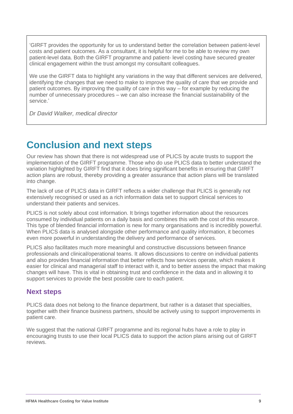'GIRFT provides the opportunity for us to understand better the correlation between patient-level costs and patient outcomes. As a consultant, it is helpful for me to be able to review my own patient-level data. Both the GIRFT programme and patient- level costing have secured greater clinical engagement within the trust amongst my consultant colleagues.

We use the GIRFT data to highlight any variations in the way that different services are delivered, identifying the changes that we need to make to improve the quality of care that we provide and patient outcomes. By improving the quality of care in this way – for example by reducing the number of unnecessary procedures – we can also increase the financial sustainability of the service.'

*Dr David Walker, medical director*

## **Conclusion and next steps**

Our review has shown that there is not widespread use of PLICS by acute trusts to support the implementation of the GIRFT programme. Those who do use PLICS data to better understand the variation highlighted by GIRFT find that it does bring significant benefits in ensuring that GIRFT action plans are robust, thereby providing a greater assurance that action plans will be translated into change.

The lack of use of PLICS data in GIRFT reflects a wider challenge that PLICS is generally not extensively recognised or used as a rich information data set to support clinical services to understand their patients and services.

PLICS is not solely about cost information. It brings together information about the resources consumed by individual patients on a daily basis and combines this with the cost of this resource. This type of blended financial information is new for many organisations and is incredibly powerful. When PLICS data is analysed alongside other performance and quality information, it becomes even more powerful in understanding the delivery and performance of services.

PLICS also facilitates much more meaningful and constructive discussions between finance professionals and clinical/operational teams. It allows discussions to centre on individual patients and also provides financial information that better reflects how services operate, which makes it easier for clinical and managerial staff to interact with it, and to better assess the impact that making changes will have. This is vital in obtaining trust and confidence in the data and in allowing it to support services to provide the best possible care to each patient.

#### **Next steps**

PLICS data does not belong to the finance department, but rather is a dataset that specialties, together with their finance business partners, should be actively using to support improvements in patient care.

We suggest that the national GIRFT programme and its regional hubs have a role to play in encouraging trusts to use their local PLICS data to support the action plans arising out of GIRFT reviews.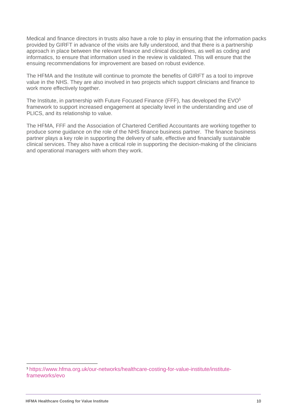Medical and finance directors in trusts also have a role to play in ensuring that the information packs provided by GIRFT in advance of the visits are fully understood, and that there is a partnership approach in place between the relevant finance and clinical disciplines, as well as coding and informatics, to ensure that information used in the review is validated. This will ensure that the ensuing recommendations for improvement are based on robust evidence.

The HFMA and the Institute will continue to promote the benefits of GIRFT as a tool to improve value in the NHS. They are also involved in two projects which support clinicians and finance to work more effectively together.

The Institute, in partnership with Future Focused Finance (FFF), has developed the EVO<sup>5</sup> framework to support increased engagement at specialty level in the understanding and use of PLICS, and its relationship to value.

The HFMA, FFF and the Association of Chartered Certified Accountants are working together to produce some guidance on the role of the NHS finance business partner. The finance business partner plays a key role in supporting the delivery of safe, effective and financially sustainable clinical services. They also have a critical role in supporting the decision-making of the clinicians and operational managers with whom they work.

<sup>5</sup> [https://www.hfma.org.uk/our-networks/healthcare-costing-for-value-institute/institute](https://www.hfma.org.uk/our-networks/healthcare-costing-for-value-institute/institute-frameworks/evo)[frameworks/evo](https://www.hfma.org.uk/our-networks/healthcare-costing-for-value-institute/institute-frameworks/evo)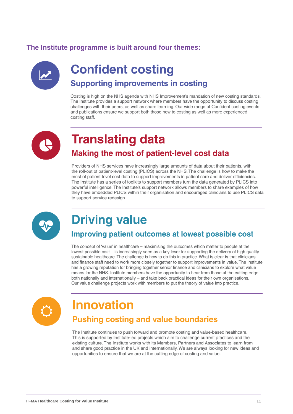#### **The Institute [programme](https://www.hfma.org.uk/our-networks/healthcare-costing-for-value-institute/work-programme) is built around four themes:**



## **Confident costing Supporting improvements in costing**

Costing is high on the NHS agenda with NHS Improvement's mandation of new costing standards. The Institute provides a support network where members have the opportunity to discuss costing challenges with their peers, as well as share learning. Our wide range of Confident costing events and publications ensure we support both those new to costing as well as more experienced costing staff.



## **Translating data** Making the most of patient-level cost data

Providers of NHS services have increasingly large amounts of data about their patients, with the roll-out of patient-level costing (PLICS) across the NHS. The challenge is how to make the most of patient-level cost data to support improvements in patient care and deliver efficiencies. The Institute has a series of toolkits to support members turn the data generated by PLICS into powerful intelligence. The Institute's support network allows members to share examples of how they have embedded PLICS within their organisation and encouraged clinicians to use PLICS data to support service redesign.



## **Driving value**

### Improving patient outcomes at lowest possible cost

The concept of 'value' in healthcare – maximising the outcomes which matter to people at the lowest possible cost – is increasingly seen as a key lever for supporting the delivery of high quality sustainable healthcare. The challenge is how to do this in practice. What is clear is that clinicians and finance staff need to work more closely together to support improvements in value. The Institute has a growing reputation for bringing together senior finance and clinicians to explore what value means for the NHS. Institute members have the opportunity to hear from those at the cutting edge both nationally and internationally – and take back practical ideas for their own organisations. Our value challenge projects work with members to put the theory of value into practice.



## **Innovation**

### **Pushing costing and value boundaries**

The Institute continues to push forward and promote costing and value-based healthcare. This is supported by Institute-led projects which aim to challenge current practices and the existing culture. The Institute works with its Members. Partners and Associates to learn from and share good practice in the UK and internationally. We are always looking for new ideas and opportunities to ensure that we are at the cutting edge of costing and value.